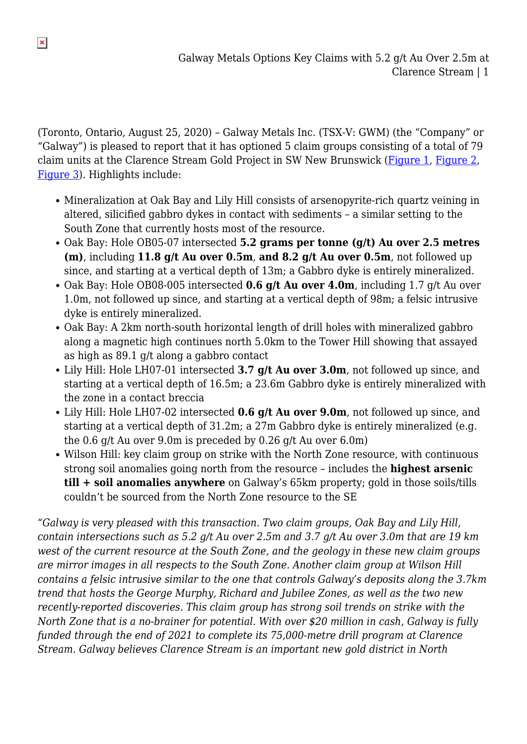(Toronto, Ontario, August 25, 2020) – Galway Metals Inc. (TSX-V: GWM) (the "Company" or "Galway") is pleased to report that it has optioned 5 claim groups consisting of a total of 79 claim units at the Clarence Stream Gold Project in SW New Brunswick ([Figure 1](https://galwaymetalsinc.com/wp-content/uploads/2020/08/CS-SoilDStev-Claims20.08.23-scaled.jpg), [Figure 2,](https://galwaymetalsinc.com/wp-content/uploads/2020/08/Figure-2-2.jpg) [Figure 3](https://galwaymetalsinc.com/wp-content/uploads/2020/08/Figure-3-1.jpg)). Highlights include:

- Mineralization at Oak Bay and Lily Hill consists of arsenopyrite-rich quartz veining in altered, silicified gabbro dykes in contact with sediments – a similar setting to the South Zone that currently hosts most of the resource.
- Oak Bay: Hole OB05-07 intersected **5.2 grams per tonne (g/t) Au over 2.5 metres (m)**, including **11.8 g/t Au over 0.5m**, **and 8.2 g/t Au over 0.5m**, not followed up since, and starting at a vertical depth of 13m; a Gabbro dyke is entirely mineralized.
- Oak Bay: Hole OB08-005 intersected **0.6 g/t Au over 4.0m**, including 1.7 g/t Au over 1.0m, not followed up since, and starting at a vertical depth of 98m; a felsic intrusive dyke is entirely mineralized.
- Oak Bay: A 2km north-south horizontal length of drill holes with mineralized gabbro along a magnetic high continues north 5.0km to the Tower Hill showing that assayed as high as 89.1 g/t along a gabbro contact
- Lily Hill: Hole LH07-01 intersected **3.7 g/t Au over 3.0m**, not followed up since, and starting at a vertical depth of 16.5m; a 23.6m Gabbro dyke is entirely mineralized with the zone in a contact breccia
- Lily Hill: Hole LH07-02 intersected **0.6 g/t Au over 9.0m**, not followed up since, and starting at a vertical depth of 31.2m; a 27m Gabbro dyke is entirely mineralized (e.g. the 0.6 g/t Au over 9.0m is preceded by 0.26 g/t Au over 6.0m)
- Wilson Hill: key claim group on strike with the North Zone resource, with continuous strong soil anomalies going north from the resource – includes the **highest arsenic till + soil anomalies anywhere** on Galway's 65km property; gold in those soils/tills couldn't be sourced from the North Zone resource to the SE

*"Galway is very pleased with this transaction. Two claim groups, Oak Bay and Lily Hill, contain intersections such as 5.2 g/t Au over 2.5m and 3.7 g/t Au over 3.0m that are 19 km west of the current resource at the South Zone, and the geology in these new claim groups are mirror images in all respects to the South Zone. Another claim group at Wilson Hill contains a felsic intrusive similar to the one that controls Galway's deposits along the 3.7km trend that hosts the George Murphy, Richard and Jubilee Zones, as well as the two new recently-reported discoveries. This claim group has strong soil trends on strike with the North Zone that is a no-brainer for potential. With over \$20 million in cash, Galway is fully funded through the end of 2021 to complete its 75,000-metre drill program at Clarence Stream. Galway believes Clarence Stream is an important new gold district in North*

 $\pmb{\times}$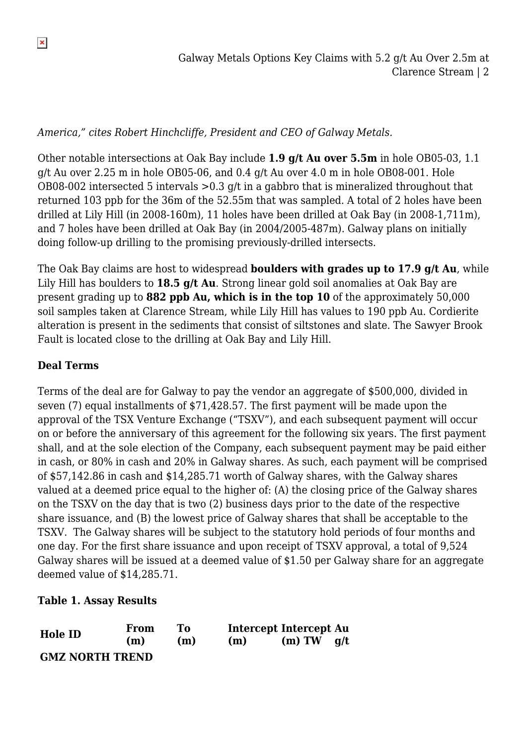*America," cites Robert Hinchcliffe, President and CEO of Galway Metals.*

Other notable intersections at Oak Bay include **1.9 g/t Au over 5.5m** in hole OB05-03, 1.1 g/t Au over 2.25 m in hole OB05-06, and 0.4 g/t Au over 4.0 m in hole OB08-001. Hole OB08-002 intersected 5 intervals >0.3 g/t in a gabbro that is mineralized throughout that returned 103 ppb for the 36m of the 52.55m that was sampled. A total of 2 holes have been drilled at Lily Hill (in 2008-160m), 11 holes have been drilled at Oak Bay (in 2008-1,711m), and 7 holes have been drilled at Oak Bay (in 2004/2005-487m). Galway plans on initially doing follow-up drilling to the promising previously-drilled intersects.

The Oak Bay claims are host to widespread **boulders with grades up to 17.9 g/t Au**, while Lily Hill has boulders to **18.5 g/t Au**. Strong linear gold soil anomalies at Oak Bay are present grading up to **882 ppb Au, which is in the top 10** of the approximately 50,000 soil samples taken at Clarence Stream, while Lily Hill has values to 190 ppb Au. Cordierite alteration is present in the sediments that consist of siltstones and slate. The Sawyer Brook Fault is located close to the drilling at Oak Bay and Lily Hill.

## **Deal Terms**

Terms of the deal are for Galway to pay the vendor an aggregate of \$500,000, divided in seven (7) equal installments of \$71,428.57. The first payment will be made upon the approval of the TSX Venture Exchange ("TSXV"), and each subsequent payment will occur on or before the anniversary of this agreement for the following six years. The first payment shall, and at the sole election of the Company, each subsequent payment may be paid either in cash, or 80% in cash and 20% in Galway shares. As such, each payment will be comprised of \$57,142.86 in cash and \$14,285.71 worth of Galway shares, with the Galway shares valued at a deemed price equal to the higher of: (A) the closing price of the Galway shares on the TSXV on the day that is two (2) business days prior to the date of the respective share issuance, and (B) the lowest price of Galway shares that shall be acceptable to the TSXV. The Galway shares will be subject to the statutory hold periods of four months and one day. For the first share issuance and upon receipt of TSXV approval, a total of 9,524 Galway shares will be issued at a deemed value of \$1.50 per Galway share for an aggregate deemed value of \$14,285.71.

## **Table 1. Assay Results**

| Hole ID                | From<br>(m) | To.<br>(m) | Intercept Intercept Au<br>(m) | $(m) TW$ q/t |  |
|------------------------|-------------|------------|-------------------------------|--------------|--|
| <b>GMZ NORTH TREND</b> |             |            |                               |              |  |

 $\pmb{\times}$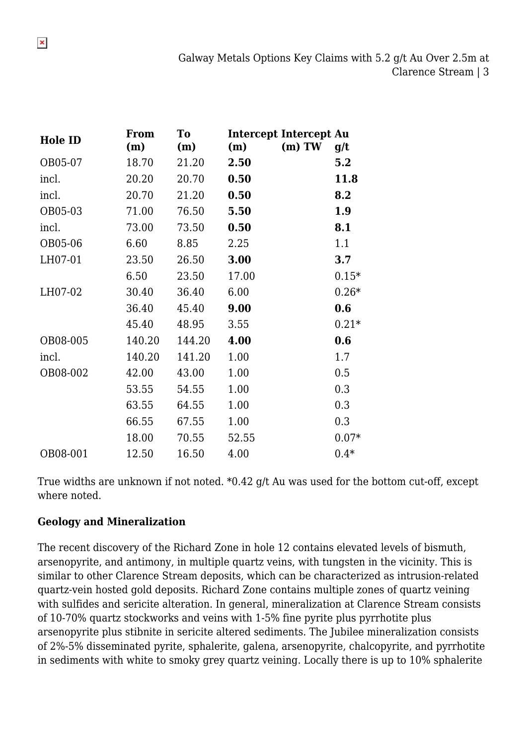| <b>Hole ID</b> | From<br>(m) | To<br>(m) | <b>Intercept Intercept Au</b><br>(m) | $(m)$ TW | q/t     |
|----------------|-------------|-----------|--------------------------------------|----------|---------|
| OB05-07        | 18.70       | 21.20     | 2.50                                 |          | 5.2     |
| incl.          | 20.20       | 20.70     | 0.50                                 |          | 11.8    |
| incl.          | 20.70       | 21.20     | 0.50                                 |          | 8.2     |
| OB05-03        | 71.00       | 76.50     | 5.50                                 |          | 1.9     |
| incl.          | 73.00       | 73.50     | 0.50                                 |          | 8.1     |
| OB05-06        | 6.60        | 8.85      | 2.25                                 |          | 1.1     |
| LH07-01        | 23.50       | 26.50     | 3.00                                 |          | 3.7     |
|                | 6.50        | 23.50     | 17.00                                |          | $0.15*$ |
| LH07-02        | 30.40       | 36.40     | 6.00                                 |          | $0.26*$ |
|                | 36.40       | 45.40     | 9.00                                 |          | 0.6     |
|                | 45.40       | 48.95     | 3.55                                 |          | $0.21*$ |
| OB08-005       | 140.20      | 144.20    | 4.00                                 |          | 0.6     |
| incl.          | 140.20      | 141.20    | 1.00                                 |          | 1.7     |
| OB08-002       | 42.00       | 43.00     | 1.00                                 |          | 0.5     |
|                | 53.55       | 54.55     | 1.00                                 |          | 0.3     |
|                | 63.55       | 64.55     | 1.00                                 |          | 0.3     |
|                | 66.55       | 67.55     | 1.00                                 |          | 0.3     |
|                | 18.00       | 70.55     | 52.55                                |          | $0.07*$ |
| OB08-001       | 12.50       | 16.50     | 4.00                                 |          | $0.4*$  |

True widths are unknown if not noted. \*0.42 g/t Au was used for the bottom cut-off, except where noted.

#### **Geology and Mineralization**

The recent discovery of the Richard Zone in hole 12 contains elevated levels of bismuth, arsenopyrite, and antimony, in multiple quartz veins, with tungsten in the vicinity. This is similar to other Clarence Stream deposits, which can be characterized as intrusion-related quartz-vein hosted gold deposits. Richard Zone contains multiple zones of quartz veining with sulfides and sericite alteration. In general, mineralization at Clarence Stream consists of 10-70% quartz stockworks and veins with 1-5% fine pyrite plus pyrrhotite plus arsenopyrite plus stibnite in sericite altered sediments. The Jubilee mineralization consists of 2%-5% disseminated pyrite, sphalerite, galena, arsenopyrite, chalcopyrite, and pyrrhotite in sediments with white to smoky grey quartz veining. Locally there is up to 10% sphalerite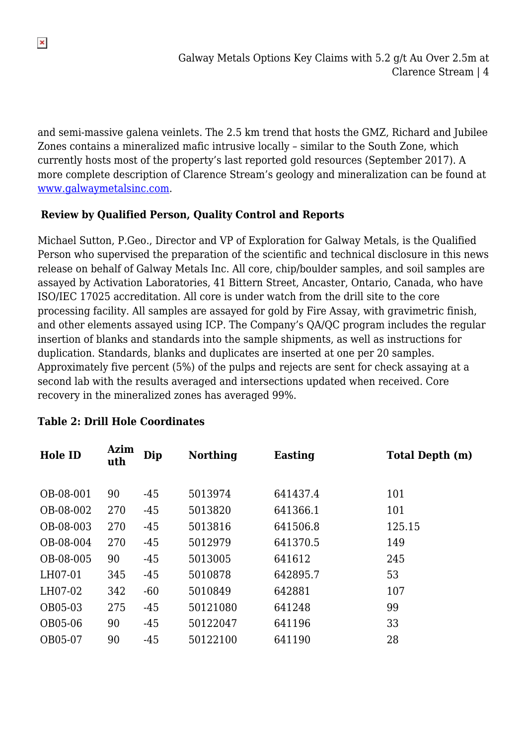and semi-massive galena veinlets. The 2.5 km trend that hosts the GMZ, Richard and Jubilee Zones contains a mineralized mafic intrusive locally – similar to the South Zone, which currently hosts most of the property's last reported gold resources (September 2017). A more complete description of Clarence Stream's geology and mineralization can be found at [www.galwaymetalsinc.com](http://www.galwaymetalsinc.com).

## **Review by Qualified Person, Quality Control and Reports**

Michael Sutton, P.Geo., Director and VP of Exploration for Galway Metals, is the Qualified Person who supervised the preparation of the scientific and technical disclosure in this news release on behalf of Galway Metals Inc. All core, chip/boulder samples, and soil samples are assayed by Activation Laboratories, 41 Bittern Street, Ancaster, Ontario, Canada, who have ISO/IEC 17025 accreditation. All core is under watch from the drill site to the core processing facility. All samples are assayed for gold by Fire Assay, with gravimetric finish, and other elements assayed using ICP. The Company's QA/QC program includes the regular insertion of blanks and standards into the sample shipments, as well as instructions for duplication. Standards, blanks and duplicates are inserted at one per 20 samples. Approximately five percent (5%) of the pulps and rejects are sent for check assaying at a second lab with the results averaged and intersections updated when received. Core recovery in the mineralized zones has averaged 99%.

| <b>Hole ID</b> | Azim<br>uth | Dip   | <b>Northing</b> | <b>Easting</b> | <b>Total Depth (m)</b> |
|----------------|-------------|-------|-----------------|----------------|------------------------|
| OB-08-001      | 90          | -45   | 5013974         | 641437.4       | 101                    |
| OB-08-002      | 270         | $-45$ | 5013820         | 641366.1       | 101                    |
| OB-08-003      | 270         | $-45$ | 5013816         | 641506.8       | 125.15                 |
| OB-08-004      | 270         | $-45$ | 5012979         | 641370.5       | 149                    |
| OB-08-005      | 90          | $-45$ | 5013005         | 641612         | 245                    |
| LH07-01        | 345         | $-45$ | 5010878         | 642895.7       | 53                     |
| LH07-02        | 342         | $-60$ | 5010849         | 642881         | 107                    |
| OB05-03        | 275         | $-45$ | 50121080        | 641248         | 99                     |
| OB05-06        | 90          | $-45$ | 50122047        | 641196         | 33                     |
| OB05-07        | 90          | $-45$ | 50122100        | 641190         | 28                     |

# **Table 2: Drill Hole Coordinates**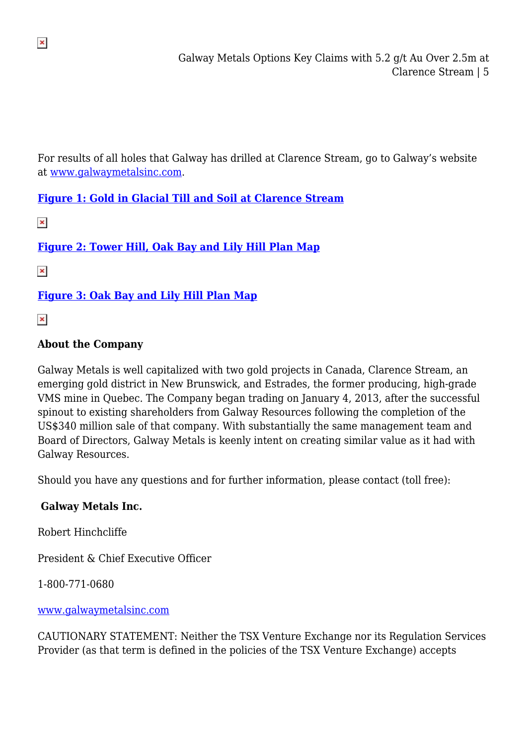For results of all holes that Galway has drilled at Clarence Stream, go to Galway's website at [www.galwaymetalsinc.com](http://www.galwaymetalsinc.com).

# **[Figure 1: Gold in Glacial Till and Soil at Clarence Stream](https://galwaymetalsinc.com/wp-content/uploads/2020/08/CS-SoilDStev-Claims20.08.23-scaled.jpg)**

 $\pmb{\times}$ 

 $\pmb{\times}$ 

**[Figure 2: Tower Hill, Oak Bay and Lily Hill Plan Map](https://galwaymetalsinc.com/wp-content/uploads/2020/08/Figure-2-2.jpg)**

 $\pmb{\times}$ 

**[Figure 3: Oak Bay and Lily Hill Plan Map](https://galwaymetalsinc.com/wp-content/uploads/2020/08/Figure-3-1.jpg)**

 $\pmb{\times}$ 

### **About the Company**

Galway Metals is well capitalized with two gold projects in Canada, Clarence Stream, an emerging gold district in New Brunswick, and Estrades, the former producing, high-grade VMS mine in Quebec. The Company began trading on January 4, 2013, after the successful spinout to existing shareholders from Galway Resources following the completion of the US\$340 million sale of that company. With substantially the same management team and Board of Directors, Galway Metals is keenly intent on creating similar value as it had with Galway Resources.

Should you have any questions and for further information, please contact (toll free):

#### **Galway Metals Inc.**

Robert Hinchcliffe

President & Chief Executive Officer

1-800-771-0680

[www.galwaymetalsinc.com](http://www.galwaymetalsinc.com)

CAUTIONARY STATEMENT: Neither the TSX Venture Exchange nor its Regulation Services Provider (as that term is defined in the policies of the TSX Venture Exchange) accepts